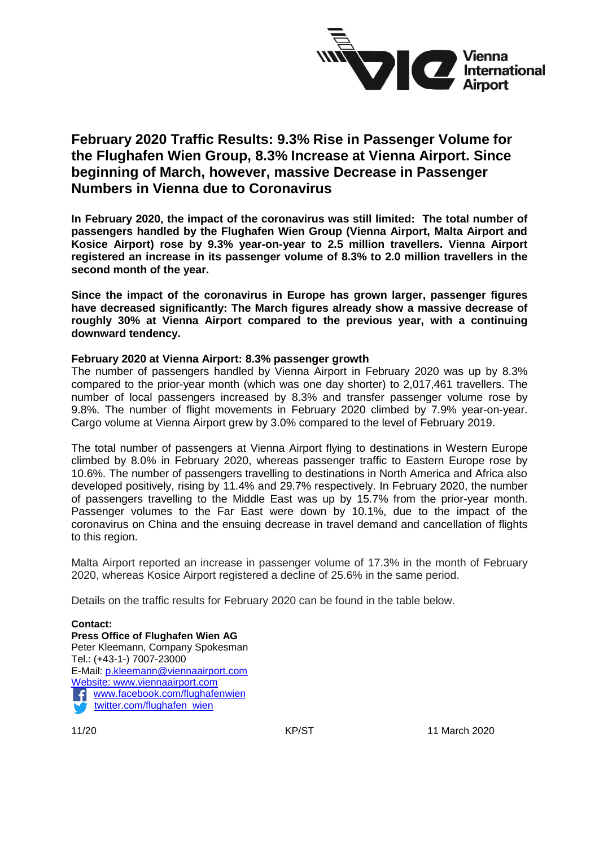

# **February 2020 Traffic Results: 9.3% Rise in Passenger Volume for the Flughafen Wien Group, 8.3% Increase at Vienna Airport. Since beginning of March, however, massive Decrease in Passenger Numbers in Vienna due to Coronavirus**

**In February 2020, the impact of the coronavirus was still limited: The total number of passengers handled by the Flughafen Wien Group (Vienna Airport, Malta Airport and Kosice Airport) rose by 9.3% year-on-year to 2.5 million travellers. Vienna Airport registered an increase in its passenger volume of 8.3% to 2.0 million travellers in the second month of the year.**

**Since the impact of the coronavirus in Europe has grown larger, passenger figures have decreased significantly: The March figures already show a massive decrease of roughly 30% at Vienna Airport compared to the previous year, with a continuing downward tendency.** 

#### **February 2020 at Vienna Airport: 8.3% passenger growth**

The number of passengers handled by Vienna Airport in February 2020 was up by 8.3% compared to the prior-year month (which was one day shorter) to 2,017,461 travellers. The number of local passengers increased by 8.3% and transfer passenger volume rose by 9.8%. The number of flight movements in February 2020 climbed by 7.9% year-on-year. Cargo volume at Vienna Airport grew by 3.0% compared to the level of February 2019.

The total number of passengers at Vienna Airport flying to destinations in Western Europe climbed by 8.0% in February 2020, whereas passenger traffic to Eastern Europe rose by 10.6%. The number of passengers travelling to destinations in North America and Africa also developed positively, rising by 11.4% and 29.7% respectively. In February 2020, the number of passengers travelling to the Middle East was up by 15.7% from the prior-year month. Passenger volumes to the Far East were down by 10.1%, due to the impact of the coronavirus on China and the ensuing decrease in travel demand and cancellation of flights to this region.

Malta Airport reported an increase in passenger volume of 17.3% in the month of February 2020, whereas Kosice Airport registered a decline of 25.6% in the same period.

Details on the traffic results for February 2020 can be found in the table below.

**Contact: Press Office of Flughafen Wien AG** Peter Kleemann, Company Spokesman Tel.: (+43-1-) 7007-23000 E-Mail: [p.kleemann@viennaairport.com](mailto:p.kleemann@viennaairport.com) Website: [www.viennaairport.com](http://www.viennaairport.com/) [www.facebook.com/flughafenwien](http://www.facebook.com/flughafenwien)  [twitter.com/flughafen\\_wien](file://///SVIE93SHR1/M/PRESSEDIENSTE/2019/Entwürfe/Verkehr/November/twitter.com/flughafen_wien)